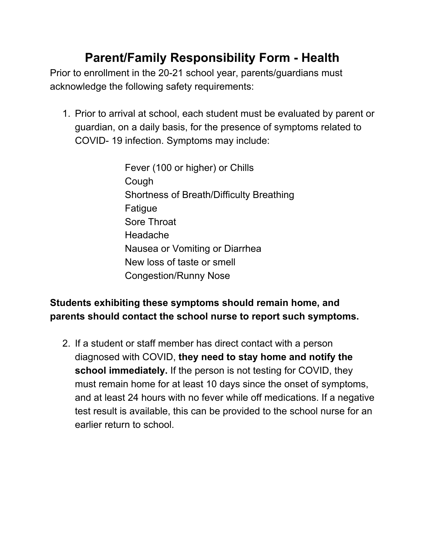## **Parent/Family Responsibility Form - Health**

Prior to enrollment in the 20-21 school year, parents/guardians must acknowledge the following safety requirements:

- 1. Prior to arrival at school, each student must be evaluated by parent or guardian, on a daily basis, for the presence of symptoms related to COVID- 19 infection. Symptoms may include:
	- Fever (100 or higher) or Chills Cough Shortness of Breath/Difficulty Breathing Fatigue Sore Throat Headache Nausea or Vomiting or Diarrhea New loss of taste or smell Congestion/Runny Nose

### **Students exhibiting these symptoms should remain home, and parents should contact the school nurse to report such symptoms.**

2. If a student or staff member has direct contact with a person diagnosed with COVID, **they need to stay home and notify the school immediately.** If the person is not testing for COVID, they must remain home for at least 10 days since the onset of symptoms, and at least 24 hours with no fever while off medications. If a negative test result is available, this can be provided to the school nurse for an earlier return to school.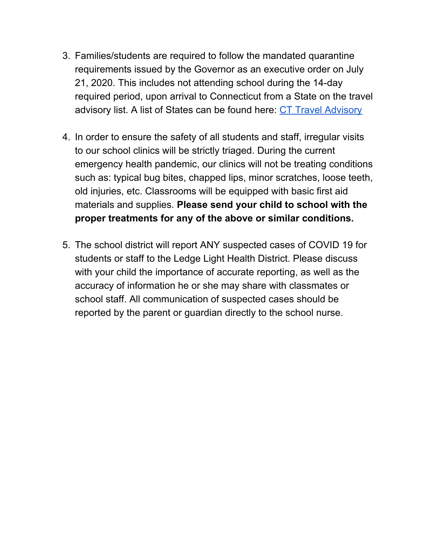- 3. Families/students are required to follow the mandated quarantine requirements issued by the Governor as an executive order on July 21, 2020. This includes not attending school during the 14-day required period, upon arrival to Connecticut from a State on the travel advisory list. A list of States can be found here: CT Travel [Advisory](https://portal.ct.gov/Coronavirus/travel)
- 4. In order to ensure the safety of all students and staff, irregular visits to our school clinics will be strictly triaged. During the current emergency health pandemic, our clinics will not be treating conditions such as: typical bug bites, chapped lips, minor scratches, loose teeth, old injuries, etc. Classrooms will be equipped with basic first aid materials and supplies. **Please send your child to school with the proper treatments for any of the above or similar conditions.**
- 5. The school district will report ANY suspected cases of COVID 19 for students or staff to the Ledge Light Health District. Please discuss with your child the importance of accurate reporting, as well as the accuracy of information he or she may share with classmates or school staff. All communication of suspected cases should be reported by the parent or guardian directly to the school nurse.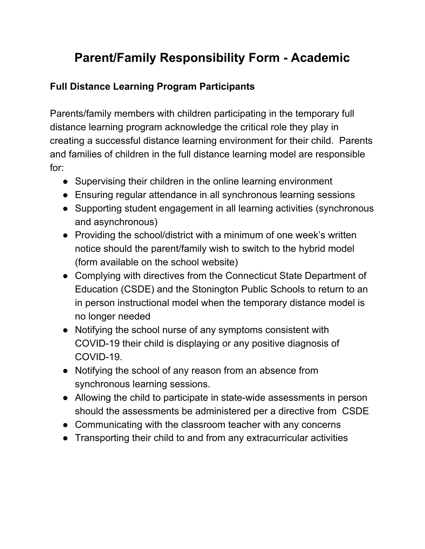# **Parent/Family Responsibility Form - Academic**

### **Full Distance Learning Program Participants**

Parents/family members with children participating in the temporary full distance learning program acknowledge the critical role they play in creating a successful distance learning environment for their child. Parents and families of children in the full distance learning model are responsible for:

- Supervising their children in the online learning environment
- Ensuring regular attendance in all synchronous learning sessions
- Supporting student engagement in all learning activities (synchronous and asynchronous)
- Providing the school/district with a minimum of one week's written notice should the parent/family wish to switch to the hybrid model (form available on the school website)
- Complying with directives from the Connecticut State Department of Education (CSDE) and the Stonington Public Schools to return to an in person instructional model when the temporary distance model is no longer needed
- Notifying the school nurse of any symptoms consistent with COVID-19 their child is displaying or any positive diagnosis of COVID-19.
- Notifying the school of any reason from an absence from synchronous learning sessions.
- Allowing the child to participate in state-wide assessments in person should the assessments be administered per a directive from CSDE
- Communicating with the classroom teacher with any concerns
- Transporting their child to and from any extracurricular activities